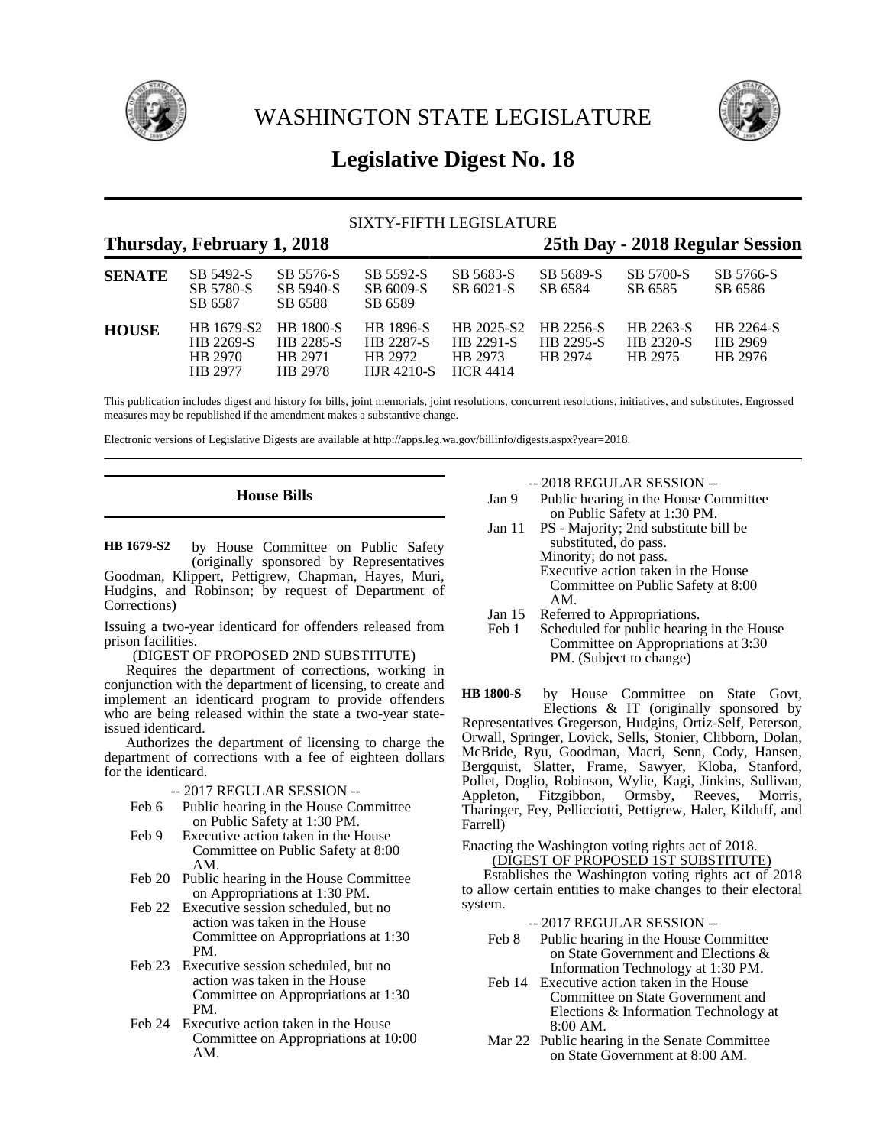

WASHINGTON STATE LEGISLATURE



# **Legislative Digest No. 18**

### SIXTY-FIFTH LEGISLATURE

## **Thursday, February 1, 2018 25th Day - 2018 Regular Session**

| <b>SENATE</b> | SB 5492-S<br>SB 5780-S<br>SB 6587             | SB 5576-S<br>SB 5940-S<br>SB 6588                          | SB 5592-S<br>SB 6009-S<br>SB 6589                             | SB 5683-S<br>SB 6021-S                                       | SB 5689-S<br>SB 6584              | SB 5700-S<br>SB 6585              | SB 5766-S<br>SB 6586            |
|---------------|-----------------------------------------------|------------------------------------------------------------|---------------------------------------------------------------|--------------------------------------------------------------|-----------------------------------|-----------------------------------|---------------------------------|
| <b>HOUSE</b>  | HB 1679-S2<br>HB 2269-S<br>HB 2970<br>HB 2977 | <b>HB 1800-S</b><br><b>HB</b> 2285-S<br>HB 2971<br>HB 2978 | HB 1896-S<br><b>HB 2287-S</b><br>HB 2972<br><b>HJR 4210-S</b> | HB 2025-S2<br><b>HB</b> 2291-S<br>HB 2973<br><b>HCR 4414</b> | HB 2256-S<br>HB 2295-S<br>HB 2974 | HB 2263-S<br>HB 2320-S<br>HR 2975 | HB 2264-S<br>HB 2969<br>HB 2976 |

This publication includes digest and history for bills, joint memorials, joint resolutions, concurrent resolutions, initiatives, and substitutes. Engrossed measures may be republished if the amendment makes a substantive change.

Electronic versions of Legislative Digests are available at http://apps.leg.wa.gov/billinfo/digests.aspx?year=2018.

### **House Bills**

by House Committee on Public Safety (originally sponsored by Representatives Goodman, Klippert, Pettigrew, Chapman, Hayes, Muri, Hudgins, and Robinson; by request of Department of Corrections) **HB 1679-S2**

Issuing a two-year identicard for offenders released from prison facilities.

(DIGEST OF PROPOSED 2ND SUBSTITUTE)

Requires the department of corrections, working in conjunction with the department of licensing, to create and implement an identicard program to provide offenders who are being released within the state a two-year stateissued identicard.

Authorizes the department of licensing to charge the department of corrections with a fee of eighteen dollars for the identicard.

-- 2017 REGULAR SESSION --

- Feb 6 Public hearing in the House Committee on Public Safety at 1:30 PM.
- Feb 9 Executive action taken in the House Committee on Public Safety at 8:00 AM.
- Feb 20 Public hearing in the House Committee on Appropriations at 1:30 PM.
- Feb 22 Executive session scheduled, but no action was taken in the House Committee on Appropriations at 1:30 PM.
- Feb 23 Executive session scheduled, but no action was taken in the House Committee on Appropriations at 1:30 PM.
- Feb 24 Executive action taken in the House Committee on Appropriations at 10:00 AM.

-- 2018 REGULAR SESSION --

- Jan 9 Public hearing in the House Committee on Public Safety at 1:30 PM.
- Jan 11 PS Majority; 2nd substitute bill be substituted, do pass. Minority; do not pass. Executive action taken in the House
	- Committee on Public Safety at 8:00 AM.
- Jan 15 Referred to Appropriations.<br>Feb 1 Scheduled for public hearing
- Scheduled for public hearing in the House Committee on Appropriations at 3:30 PM. (Subject to change)

by House Committee on State Govt, Elections & IT (originally sponsored by Representatives Gregerson, Hudgins, Ortiz-Self, Peterson, Orwall, Springer, Lovick, Sells, Stonier, Clibborn, Dolan, McBride, Ryu, Goodman, Macri, Senn, Cody, Hansen, Bergquist, Slatter, Frame, Sawyer, Kloba, Stanford, Pollet, Doglio, Robinson, Wylie, Kagi, Jinkins, Sullivan, Appleton, Fitzgibbon, Ormsby, Reeves, Morris, Tharinger, Fey, Pellicciotti, Pettigrew, Haler, Kilduff, and Farrell) **HB 1800-S**

Enacting the Washington voting rights act of 2018. (DIGEST OF PROPOSED 1ST SUBSTITUTE)

Establishes the Washington voting rights act of 2018 to allow certain entities to make changes to their electoral system.

- -- 2017 REGULAR SESSION --
- Feb 8 Public hearing in the House Committee on State Government and Elections & Information Technology at 1:30 PM.
- Feb 14 Executive action taken in the House Committee on State Government and Elections & Information Technology at 8:00 AM.
- Mar 22 Public hearing in the Senate Committee on State Government at 8:00 AM.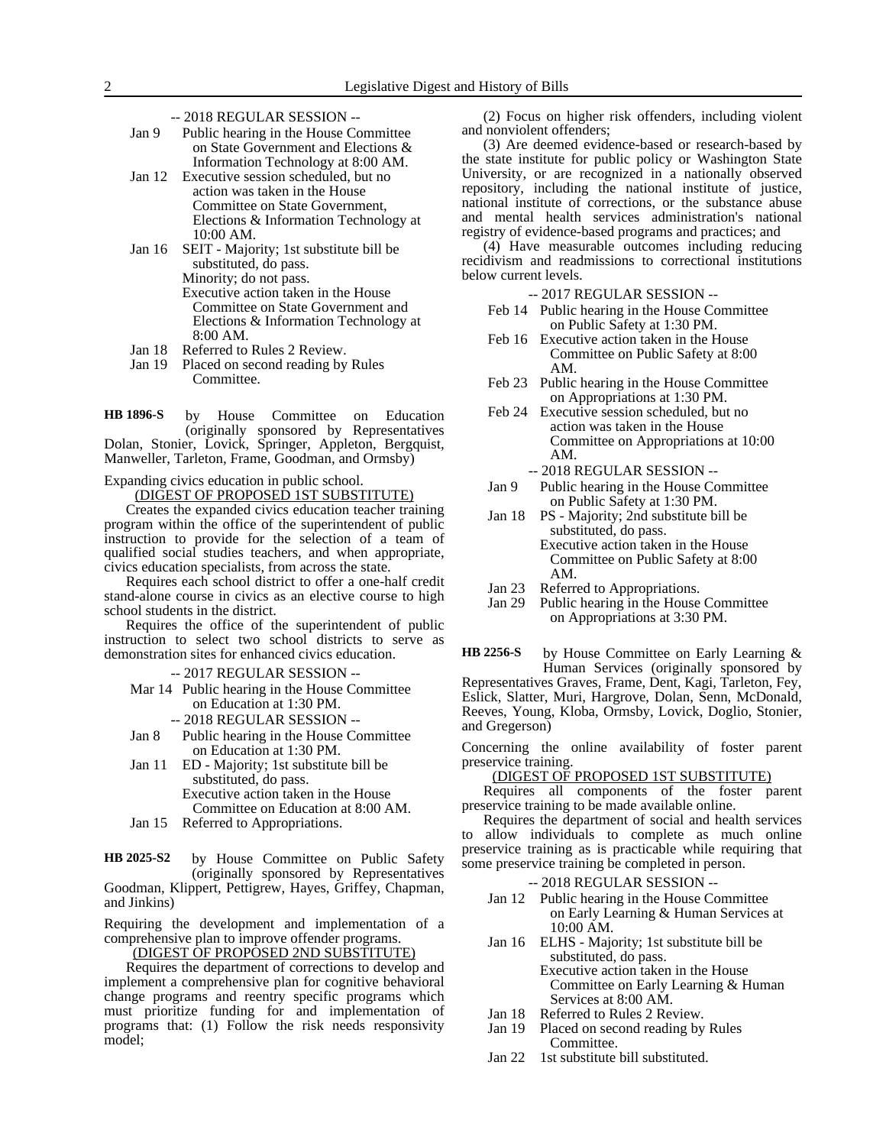- -- 2018 REGULAR SESSION --
- Jan 9 Public hearing in the House Committee on State Government and Elections & Information Technology at 8:00 AM.
- Jan 12 Executive session scheduled, but no action was taken in the House Committee on State Government, Elections & Information Technology at 10:00 AM.
- Jan 16 SEIT Majority; 1st substitute bill be substituted, do pass.
	- Minority; do not pass. Executive action taken in the House Committee on State Government and Elections & Information Technology at 8:00 AM.
- Jan 18 Referred to Rules 2 Review.
- Jan 19 Placed on second reading by Rules Committee.

by House Committee on Education (originally sponsored by Representatives Dolan, Stonier, Lovick, Springer, Appleton, Bergquist, Manweller, Tarleton, Frame, Goodman, and Ormsby) **HB 1896-S**

Expanding civics education in public school.

(DIGEST OF PROPOSED 1ST SUBSTITUTE)

Creates the expanded civics education teacher training program within the office of the superintendent of public instruction to provide for the selection of a team of qualified social studies teachers, and when appropriate, civics education specialists, from across the state.

Requires each school district to offer a one-half credit stand-alone course in civics as an elective course to high school students in the district.

Requires the office of the superintendent of public instruction to select two school districts to serve as demonstration sites for enhanced civics education.

-- 2017 REGULAR SESSION --

- Mar 14 Public hearing in the House Committee on Education at 1:30 PM.
	- -- 2018 REGULAR SESSION --
- Jan 8 Public hearing in the House Committee on Education at 1:30 PM.
- Jan 11 ED Majority; 1st substitute bill be substituted, do pass. Executive action taken in the House Committee on Education at 8:00 AM.
- Jan 15 Referred to Appropriations.

by House Committee on Public Safety (originally sponsored by Representatives Goodman, Klippert, Pettigrew, Hayes, Griffey, Chapman, and Jinkins) **HB 2025-S2**

Requiring the development and implementation of a comprehensive plan to improve offender programs.

(DIGEST OF PROPOSED 2ND SUBSTITUTE)

Requires the department of corrections to develop and implement a comprehensive plan for cognitive behavioral change programs and reentry specific programs which must prioritize funding for and implementation of programs that: (1) Follow the risk needs responsivity model;

(2) Focus on higher risk offenders, including violent and nonviolent offenders;

(3) Are deemed evidence-based or research-based by the state institute for public policy or Washington State University, or are recognized in a nationally observed repository, including the national institute of justice, national institute of corrections, or the substance abuse and mental health services administration's national registry of evidence-based programs and practices; and

(4) Have measurable outcomes including reducing recidivism and readmissions to correctional institutions below current levels.

-- 2017 REGULAR SESSION --

- Feb 14 Public hearing in the House Committee on Public Safety at 1:30 PM.
- Feb 16 Executive action taken in the House Committee on Public Safety at 8:00 AM.
- Feb 23 Public hearing in the House Committee on Appropriations at 1:30 PM.
- Feb 24 Executive session scheduled, but no action was taken in the House Committee on Appropriations at 10:00 AM.

-- 2018 REGULAR SESSION --

- Jan 9 Public hearing in the House Committee on Public Safety at 1:30 PM.
- Jan 18 PS Majority; 2nd substitute bill be substituted, do pass. Executive action taken in the House Committee on Public Safety at 8:00 AM.
- 
- Jan 23 Referred to Appropriations.<br>Jan 29 Public hearing in the House Public hearing in the House Committee on Appropriations at 3:30 PM.

by House Committee on Early Learning & Human Services (originally sponsored by **HB 2256-S**

Representatives Graves, Frame, Dent, Kagi, Tarleton, Fey, Eslick, Slatter, Muri, Hargrove, Dolan, Senn, McDonald, Reeves, Young, Kloba, Ormsby, Lovick, Doglio, Stonier, and Gregerson)

Concerning the online availability of foster parent preservice training.

### (DIGEST OF PROPOSED 1ST SUBSTITUTE)

Requires all components of the foster parent preservice training to be made available online.

Requires the department of social and health services to allow individuals to complete as much online preservice training as is practicable while requiring that some preservice training be completed in person.

#### -- 2018 REGULAR SESSION --

- Jan 12 Public hearing in the House Committee on Early Learning & Human Services at 10:00 AM.
- Jan 16 ELHS Majority; 1st substitute bill be substituted, do pass. Executive action taken in the House Committee on Early Learning & Human Services at 8:00 AM.
- Jan 18 Referred to Rules 2 Review.
- Jan 19 Placed on second reading by Rules Committee.
- Jan 22 1st substitute bill substituted.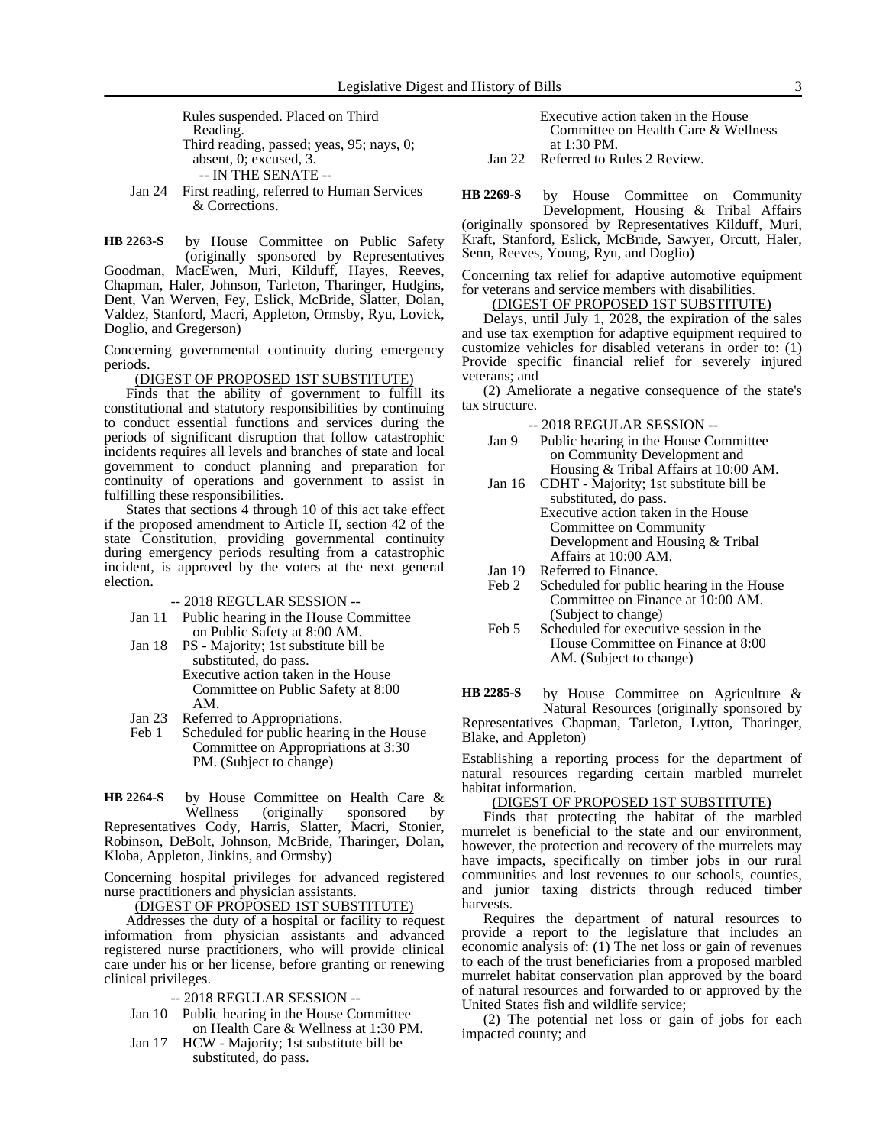Rules suspended. Placed on Third Reading. Third reading, passed; yeas, 95; nays, 0; absent, 0; excused, 3. -- IN THE SENATE --

Jan 24 First reading, referred to Human Services & Corrections.

by House Committee on Public Safety (originally sponsored by Representatives Goodman, MacEwen, Muri, Kilduff, Hayes, Reeves, Chapman, Haler, Johnson, Tarleton, Tharinger, Hudgins, Dent, Van Werven, Fey, Eslick, McBride, Slatter, Dolan, Valdez, Stanford, Macri, Appleton, Ormsby, Ryu, Lovick, Doglio, and Gregerson) **HB 2263-S**

Concerning governmental continuity during emergency periods.

#### (DIGEST OF PROPOSED 1ST SUBSTITUTE)

Finds that the ability of government to fulfill its constitutional and statutory responsibilities by continuing to conduct essential functions and services during the periods of significant disruption that follow catastrophic incidents requires all levels and branches of state and local government to conduct planning and preparation for continuity of operations and government to assist in fulfilling these responsibilities.

States that sections 4 through 10 of this act take effect if the proposed amendment to Article II, section 42 of the state Constitution, providing governmental continuity during emergency periods resulting from a catastrophic incident, is approved by the voters at the next general election.

-- 2018 REGULAR SESSION --

- Jan 11 Public hearing in the House Committee on Public Safety at 8:00 AM.
- Jan 18 PS Majority; 1st substitute bill be substituted, do pass. Executive action taken in the House

Committee on Public Safety at 8:00 AM.

- Jan 23 Referred to Appropriations.<br>Feb 1 Scheduled for public hearing
- Scheduled for public hearing in the House Committee on Appropriations at 3:30 PM. (Subject to change)

by House Committee on Health Care & Wellness (originally sponsored by Representatives Cody, Harris, Slatter, Macri, Stonier, Robinson, DeBolt, Johnson, McBride, Tharinger, Dolan, Kloba, Appleton, Jinkins, and Ormsby) **HB 2264-S**

Concerning hospital privileges for advanced registered nurse practitioners and physician assistants.

<u>(DIGEST OF PROPOSED 1ST SUBSTITUTE)</u>

Addresses the duty of a hospital or facility to request information from physician assistants and advanced registered nurse practitioners, who will provide clinical care under his or her license, before granting or renewing clinical privileges.

- -- 2018 REGULAR SESSION --
- Jan 10 Public hearing in the House Committee on Health Care & Wellness at 1:30 PM.
- Jan 17 HCW Majority; 1st substitute bill be substituted, do pass.

Executive action taken in the House Committee on Health Care & Wellness at 1:30 PM.

Jan 22 Referred to Rules 2 Review.

by House Committee on Community Development, Housing & Tribal Affairs (originally sponsored by Representatives Kilduff, Muri, **HB 2269-S**

Kraft, Stanford, Eslick, McBride, Sawyer, Orcutt, Haler, Senn, Reeves, Young, Ryu, and Doglio)

Concerning tax relief for adaptive automotive equipment for veterans and service members with disabilities.

(DIGEST OF PROPOSED 1ST SUBSTITUTE)

Delays, until July 1, 2028, the expiration of the sales and use tax exemption for adaptive equipment required to customize vehicles for disabled veterans in order to: (1) Provide specific financial relief for severely injured veterans; and

(2) Ameliorate a negative consequence of the state's tax structure.

-- 2018 REGULAR SESSION --

- Jan 9 Public hearing in the House Committee on Community Development and Housing & Tribal Affairs at 10:00 AM.
- Jan 16 CDHT Majority; 1st substitute bill be substituted, do pass. Executive action taken in the House Committee on Community Development and Housing & Tribal Affairs at 10:00 AM.
- Jan 19 Referred to Finance.<br>Feb 2 Scheduled for public
- Scheduled for public hearing in the House Committee on Finance at 10:00 AM. (Subject to change)
- Feb 5 Scheduled for executive session in the House Committee on Finance at 8:00 AM. (Subject to change)

by House Committee on Agriculture & Natural Resources (originally sponsored by Representatives Chapman, Tarleton, Lytton, Tharinger, Blake, and Appleton) **HB 2285-S**

Establishing a reporting process for the department of natural resources regarding certain marbled murrelet habitat information.

#### (DIGEST OF PROPOSED 1ST SUBSTITUTE)

Finds that protecting the habitat of the marbled murrelet is beneficial to the state and our environment, however, the protection and recovery of the murrelets may have impacts, specifically on timber jobs in our rural communities and lost revenues to our schools, counties, and junior taxing districts through reduced timber harvests.

Requires the department of natural resources to provide a report to the legislature that includes an economic analysis of: (1) The net loss or gain of revenues to each of the trust beneficiaries from a proposed marbled murrelet habitat conservation plan approved by the board of natural resources and forwarded to or approved by the United States fish and wildlife service;

(2) The potential net loss or gain of jobs for each impacted county; and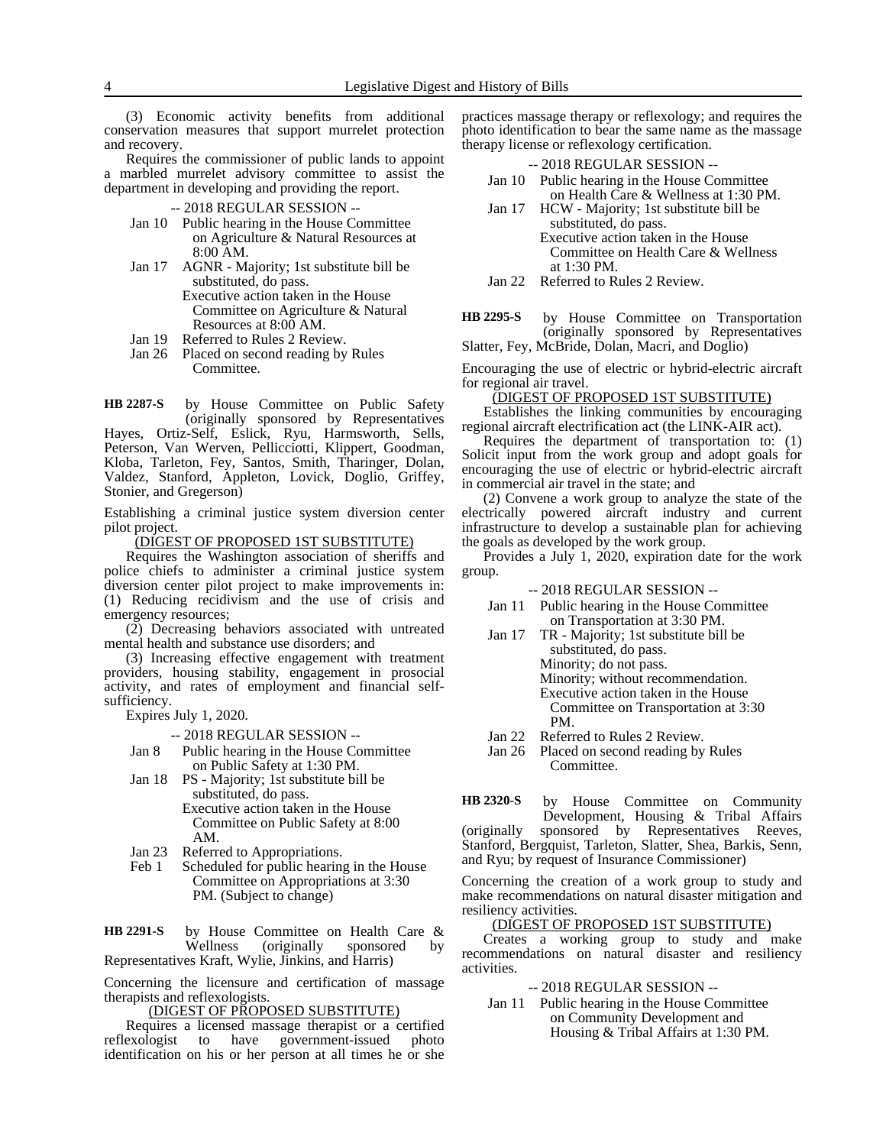(3) Economic activity benefits from additional conservation measures that support murrelet protection and recovery.

Requires the commissioner of public lands to appoint a marbled murrelet advisory committee to assist the department in developing and providing the report.

- -- 2018 REGULAR SESSION --
- Jan 10 Public hearing in the House Committee on Agriculture & Natural Resources at 8:00 AM.
- Jan 17 AGNR Majority; 1st substitute bill be substituted, do pass.
	- Executive action taken in the House Committee on Agriculture & Natural Resources at 8:00 AM.
- Jan 19 Referred to Rules 2 Review.
- Jan 26 Placed on second reading by Rules Committee.

by House Committee on Public Safety (originally sponsored by Representatives Hayes, Ortiz-Self, Eslick, Ryu, Harmsworth, Sells, Peterson, Van Werven, Pellicciotti, Klippert, Goodman, Kloba, Tarleton, Fey, Santos, Smith, Tharinger, Dolan, Valdez, Stanford, Appleton, Lovick, Doglio, Griffey, Stonier, and Gregerson) **HB 2287-S**

Establishing a criminal justice system diversion center pilot project.

(DIGEST OF PROPOSED 1ST SUBSTITUTE)

Requires the Washington association of sheriffs and police chiefs to administer a criminal justice system diversion center pilot project to make improvements in: (1) Reducing recidivism and the use of crisis and emergency resources;

(2) Decreasing behaviors associated with untreated mental health and substance use disorders; and

(3) Increasing effective engagement with treatment providers, housing stability, engagement in prosocial activity, and rates of employment and financial selfsufficiency.

Expires July 1, 2020.

-- 2018 REGULAR SESSION --

- Jan 8 Public hearing in the House Committee on Public Safety at 1:30 PM.
- Jan 18 PS Majority; 1st substitute bill be substituted, do pass. Executive action taken in the House Committee on Public Safety at 8:00
- AM.
- Jan 23 Referred to Appropriations.<br>Feb 1 Scheduled for public hearing Scheduled for public hearing in the House Committee on Appropriations at 3:30 PM. (Subject to change)

by House Committee on Health Care & Wellness (originally sponsored Representatives Kraft, Wylie, Jinkins, and Harris) **HB 2291-S**

Concerning the licensure and certification of massage therapists and reflexologists.

### (DIGEST OF PROPOSED SUBSTITUTE)

Requires a licensed massage therapist or a certified reflexologist to have government-issued photo identification on his or her person at all times he or she practices massage therapy or reflexology; and requires the photo identification to bear the same name as the massage therapy license or reflexology certification.  $-2018$  BEGULAR SESSION

| -- 2018 REGULAR SESSION --                   |
|----------------------------------------------|
| Jan 10 Public hearing in the House Committee |
| on Health Care & Wellness at 1:30 PM.        |

- Jan 17 HCW Majority; 1st substitute bill be substituted, do pass. Executive action taken in the House Committee on Health Care & Wellness at 1:30 PM.
- Jan 22 Referred to Rules 2 Review.
- by House Committee on Transportation (originally sponsored by Representatives **HB 2295-S**

Slatter, Fey, McBride, Dolan, Macri, and Doglio)

Encouraging the use of electric or hybrid-electric aircraft for regional air travel.

(DIGEST OF PROPOSED 1ST SUBSTITUTE)

Establishes the linking communities by encouraging regional aircraft electrification act (the LINK-AIR act).

Requires the department of transportation to: (1) Solicit input from the work group and adopt goals for encouraging the use of electric or hybrid-electric aircraft in commercial air travel in the state; and

(2) Convene a work group to analyze the state of the electrically powered aircraft industry and current infrastructure to develop a sustainable plan for achieving the goals as developed by the work group.

Provides a July 1, 2020, expiration date for the work group.

-- 2018 REGULAR SESSION --

- Jan 11 Public hearing in the House Committee on Transportation at 3:30 PM.
- Jan 17 TR Majority; 1st substitute bill be substituted, do pass. Minority; do not pass. Minority; without recommendation.

Executive action taken in the House Committee on Transportation at 3:30 PM.

- Jan 22 Referred to Rules 2 Review.
- Jan 26 Placed on second reading by Rules Committee.

by House Committee on Community Development, Housing & Tribal Affairs (originally sponsored by Representatives Reeves, Stanford, Bergquist, Tarleton, Slatter, Shea, Barkis, Senn, and Ryu; by request of Insurance Commissioner) **HB 2320-S**

Concerning the creation of a work group to study and make recommendations on natural disaster mitigation and resiliency activities.

#### (DIGEST OF PROPOSED 1ST SUBSTITUTE)

Creates a working group to study and make recommendations on natural disaster and resiliency activities.

-- 2018 REGULAR SESSION --

Jan 11 Public hearing in the House Committee on Community Development and Housing & Tribal Affairs at 1:30 PM.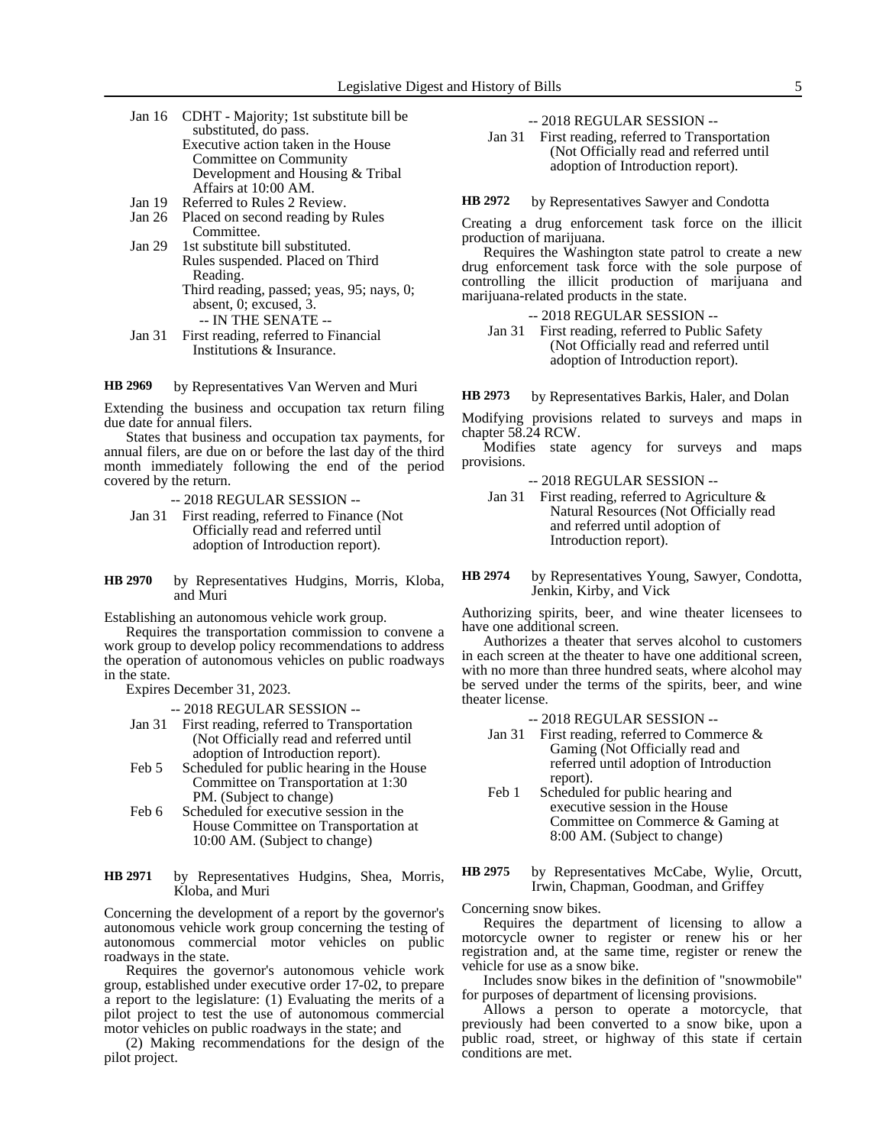- Jan 16 CDHT Majority; 1st substitute bill be substituted, do pass. Executive action taken in the House Committee on Community Development and Housing & Tribal Affairs at 10:00 AM. Jan 19 Referred to Rules 2 Review.
- Jan 26 Placed on second reading by Rules Committee.
- Jan 29 1st substitute bill substituted. Rules suspended. Placed on Third Reading. Third reading, passed; yeas, 95; nays, 0;
	- absent, 0; excused, 3. -- IN THE SENATE --
- Jan 31 First reading, referred to Financial Institutions & Insurance.

by Representatives Van Werven and Muri **HB 2969**

Extending the business and occupation tax return filing due date for annual filers.

States that business and occupation tax payments, for annual filers, are due on or before the last day of the third month immediately following the end of the period covered by the return.

-- 2018 REGULAR SESSION --

- Jan 31 First reading, referred to Finance (Not Officially read and referred until adoption of Introduction report).
- by Representatives Hudgins, Morris, Kloba, and Muri **HB 2970**

Establishing an autonomous vehicle work group.

Requires the transportation commission to convene a work group to develop policy recommendations to address the operation of autonomous vehicles on public roadways in the state.

Expires December 31, 2023.

-- 2018 REGULAR SESSION --

- Jan 31 First reading, referred to Transportation (Not Officially read and referred until adoption of Introduction report).
- Feb 5 Scheduled for public hearing in the House Committee on Transportation at 1:30 PM. (Subject to change)
- Feb 6 Scheduled for executive session in the House Committee on Transportation at 10:00 AM. (Subject to change)

by Representatives Hudgins, Shea, Morris, Kloba, and Muri **HB 2971**

Concerning the development of a report by the governor's autonomous vehicle work group concerning the testing of autonomous commercial motor vehicles on public roadways in the state.

Requires the governor's autonomous vehicle work group, established under executive order 17-02, to prepare a report to the legislature: (1) Evaluating the merits of a pilot project to test the use of autonomous commercial motor vehicles on public roadways in the state; and

(2) Making recommendations for the design of the pilot project.

-- 2018 REGULAR SESSION --

Jan 31 First reading, referred to Transportation (Not Officially read and referred until adoption of Introduction report).

by Representatives Sawyer and Condotta **HB 2972**

Creating a drug enforcement task force on the illicit production of marijuana.

Requires the Washington state patrol to create a new drug enforcement task force with the sole purpose of controlling the illicit production of marijuana and marijuana-related products in the state.

-- 2018 REGULAR SESSION --

Jan 31 First reading, referred to Public Safety (Not Officially read and referred until adoption of Introduction report).

by Representatives Barkis, Haler, and Dolan **HB 2973**

Modifying provisions related to surveys and maps in chapter 58.24 RCW.

Modifies state agency for surveys and maps provisions.

-- 2018 REGULAR SESSION --

- Jan 31 First reading, referred to Agriculture & Natural Resources (Not Officially read and referred until adoption of Introduction report).
- by Representatives Young, Sawyer, Condotta, Jenkin, Kirby, and Vick **HB 2974**

Authorizing spirits, beer, and wine theater licensees to have one additional screen.

Authorizes a theater that serves alcohol to customers in each screen at the theater to have one additional screen, with no more than three hundred seats, where alcohol may be served under the terms of the spirits, beer, and wine theater license.

-- 2018 REGULAR SESSION --

- Jan 31 First reading, referred to Commerce & Gaming (Not Officially read and referred until adoption of Introduction report).
- Feb 1 Scheduled for public hearing and executive session in the House Committee on Commerce & Gaming at 8:00 AM. (Subject to change)
- by Representatives McCabe, Wylie, Orcutt, Irwin, Chapman, Goodman, and Griffey **HB 2975**

Concerning snow bikes.

Requires the department of licensing to allow a motorcycle owner to register or renew his or her registration and, at the same time, register or renew the vehicle for use as a snow bike.

Includes snow bikes in the definition of "snowmobile" for purposes of department of licensing provisions.

Allows a person to operate a motorcycle, that previously had been converted to a snow bike, upon a public road, street, or highway of this state if certain conditions are met.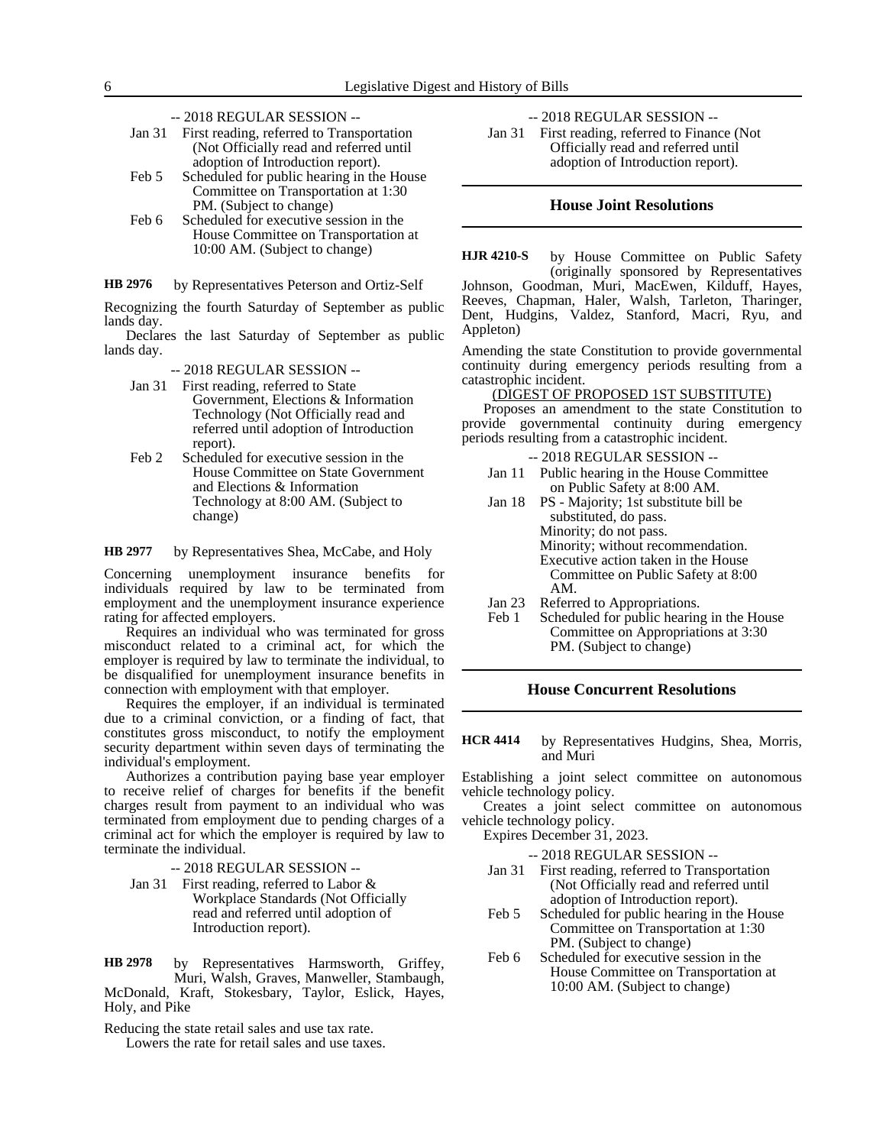- -- 2018 REGULAR SESSION --
- Jan 31 First reading, referred to Transportation (Not Officially read and referred until adoption of Introduction report).
- Feb 5 Scheduled for public hearing in the House Committee on Transportation at 1:30 PM. (Subject to change)
- Feb 6 Scheduled for executive session in the House Committee on Transportation at 10:00 AM. (Subject to change)

by Representatives Peterson and Ortiz-Self **HB 2976**

Recognizing the fourth Saturday of September as public lands day.

Declares the last Saturday of September as public lands day.

- -- 2018 REGULAR SESSION --
- Jan 31 First reading, referred to State Government, Elections & Information Technology (Not Officially read and referred until adoption of Introduction report).
- Feb 2 Scheduled for executive session in the House Committee on State Government and Elections & Information Technology at 8:00 AM. (Subject to change)
- by Representatives Shea, McCabe, and Holy **HB 2977**

Concerning unemployment insurance benefits for individuals required by law to be terminated from employment and the unemployment insurance experience rating for affected employers.

Requires an individual who was terminated for gross misconduct related to a criminal act, for which the employer is required by law to terminate the individual, to be disqualified for unemployment insurance benefits in connection with employment with that employer.

Requires the employer, if an individual is terminated due to a criminal conviction, or a finding of fact, that constitutes gross misconduct, to notify the employment security department within seven days of terminating the individual's employment.

Authorizes a contribution paying base year employer to receive relief of charges for benefits if the benefit charges result from payment to an individual who was terminated from employment due to pending charges of a criminal act for which the employer is required by law to terminate the individual.

-- 2018 REGULAR SESSION --

Jan 31 First reading, referred to Labor & Workplace Standards (Not Officially read and referred until adoption of Introduction report).

by Representatives Harmsworth, Griffey, Muri, Walsh, Graves, Manweller, Stambaugh, McDonald, Kraft, Stokesbary, Taylor, Eslick, Hayes, Holy, and Pike **HB 2978**

Reducing the state retail sales and use tax rate.

Lowers the rate for retail sales and use taxes.

-- 2018 REGULAR SESSION --

Jan 31 First reading, referred to Finance (Not Officially read and referred until adoption of Introduction report).

#### **House Joint Resolutions**

by House Committee on Public Safety (originally sponsored by Representatives Johnson, Goodman, Muri, MacEwen, Kilduff, Hayes, Reeves, Chapman, Haler, Walsh, Tarleton, Tharinger, Dent, Hudgins, Valdez, Stanford, Macri, Ryu, and Appleton) **HJR 4210-S**

Amending the state Constitution to provide governmental continuity during emergency periods resulting from a catastrophic incident.

(DIGEST OF PROPOSED 1ST SUBSTITUTE)

Proposes an amendment to the state Constitution to provide governmental continuity during emergency periods resulting from a catastrophic incident.

-- 2018 REGULAR SESSION --

- Jan 11 Public hearing in the House Committee on Public Safety at 8:00 AM.
- Jan 18 PS Majority; 1st substitute bill be substituted, do pass. Minority; do not pass. Minority; without recommendation. Executive action taken in the House Committee on Public Safety at 8:00 AM.
- Jan 23 Referred to Appropriations.
- Feb 1 Scheduled for public hearing in the House Committee on Appropriations at 3:30 PM. (Subject to change)

### **House Concurrent Resolutions**

by Representatives Hudgins, Shea, Morris, and Muri **HCR 4414**

Establishing a joint select committee on autonomous vehicle technology policy.

Creates a joint select committee on autonomous vehicle technology policy.

Expires December 31, 2023.

-- 2018 REGULAR SESSION --

- Jan 31 First reading, referred to Transportation (Not Officially read and referred until adoption of Introduction report).
- Feb 5 Scheduled for public hearing in the House Committee on Transportation at 1:30 PM. (Subject to change)
- Feb 6 Scheduled for executive session in the House Committee on Transportation at 10:00 AM. (Subject to change)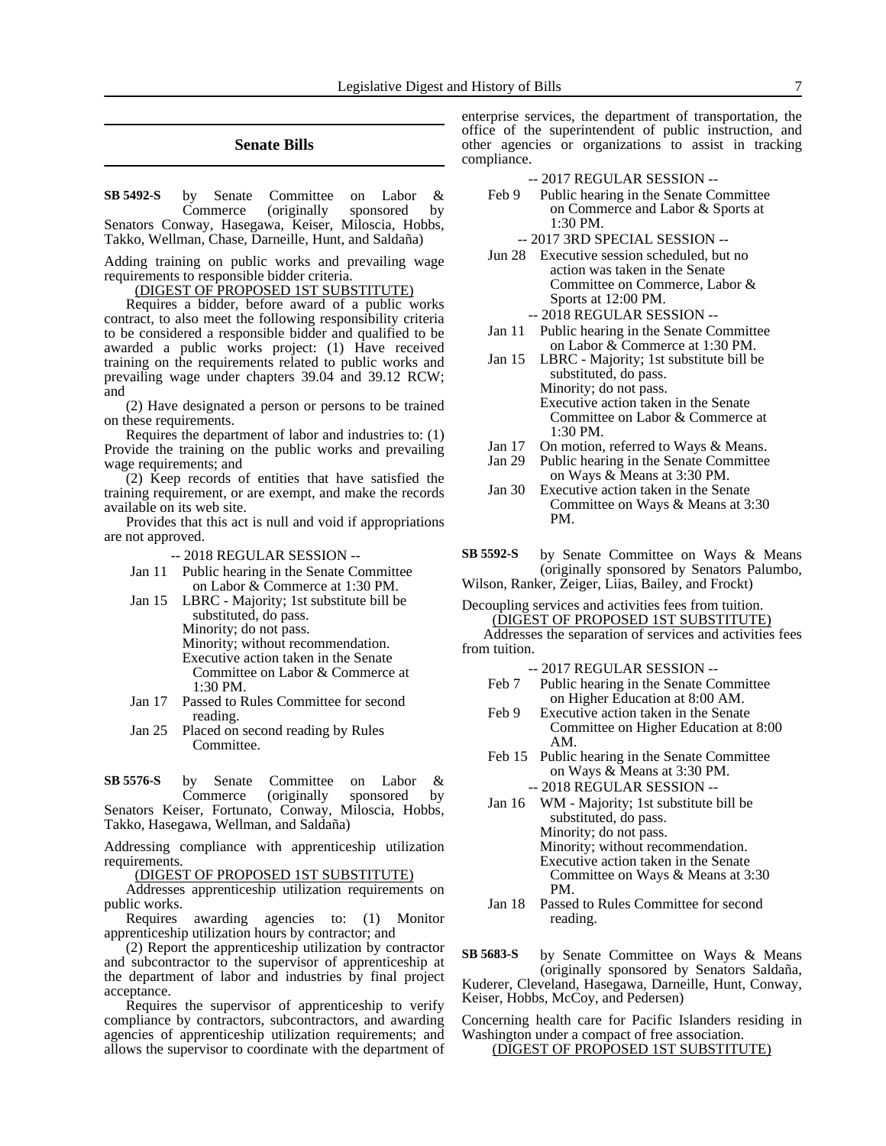### **Senate Bills**

by Senate Committee on Labor & Commerce (originally sponsored by Senators Conway, Hasegawa, Keiser, Miloscia, Hobbs, Takko, Wellman, Chase, Darneille, Hunt, and Saldaña) **SB 5492-S**

Adding training on public works and prevailing wage requirements to responsible bidder criteria.

(DIGEST OF PROPOSED 1ST SUBSTITUTE)

Requires a bidder, before award of a public works contract, to also meet the following responsibility criteria to be considered a responsible bidder and qualified to be awarded a public works project: (1) Have received training on the requirements related to public works and prevailing wage under chapters 39.04 and 39.12 RCW; and

(2) Have designated a person or persons to be trained on these requirements.

Requires the department of labor and industries to: (1) Provide the training on the public works and prevailing wage requirements; and

(2) Keep records of entities that have satisfied the training requirement, or are exempt, and make the records available on its web site.

Provides that this act is null and void if appropriations are not approved.

-- 2018 REGULAR SESSION --

- Jan 11 Public hearing in the Senate Committee on Labor & Commerce at 1:30 PM.
- Jan 15 LBRC Majority; 1st substitute bill be substituted, do pass. Minority; do not pass. Minority; without recommendation. Executive action taken in the Senate Committee on Labor & Commerce at 1:30 PM.
- Jan 17 Passed to Rules Committee for second reading.
- Jan 25 Placed on second reading by Rules Committee.

by Senate Committee on Labor & Commerce (originally sponsored by Senators Keiser, Fortunato, Conway, Miloscia, Hobbs, **SB 5576-S**

Takko, Hasegawa, Wellman, and Saldaña)

Addressing compliance with apprenticeship utilization requirements.

(DIGEST OF PROPOSED 1ST SUBSTITUTE)

Addresses apprenticeship utilization requirements on public works.

Requires awarding agencies to: (1) Monitor apprenticeship utilization hours by contractor; and

(2) Report the apprenticeship utilization by contractor and subcontractor to the supervisor of apprenticeship at the department of labor and industries by final project acceptance.

Requires the supervisor of apprenticeship to verify compliance by contractors, subcontractors, and awarding agencies of apprenticeship utilization requirements; and allows the supervisor to coordinate with the department of enterprise services, the department of transportation, the office of the superintendent of public instruction, and other agencies or organizations to assist in tracking compliance.

#### -- 2017 REGULAR SESSION --

- Feb 9 Public hearing in the Senate Committee on Commerce and Labor & Sports at 1:30 PM.
	- -- 2017 3RD SPECIAL SESSION --
- Jun 28 Executive session scheduled, but no action was taken in the Senate Committee on Commerce, Labor & Sports at 12:00 PM. -- 2018 REGULAR SESSION --
- Jan 11 Public hearing in the Senate Committee on Labor & Commerce at 1:30 PM.
- Jan 15 LBRC Majority; 1st substitute bill be substituted, do pass. Minority; do not pass. Executive action taken in the Senate Committee on Labor & Commerce at  $1:30$  PM.
- Jan 17 On motion, referred to Ways & Means.
- Jan 29 Public hearing in the Senate Committee on Ways & Means at 3:30 PM.
- Jan 30 Executive action taken in the Senate Committee on Ways & Means at 3:30 PM.
- by Senate Committee on Ways & Means (originally sponsored by Senators Palumbo, **SB 5592-S**
- Wilson, Ranker, Zeiger, Liias, Bailey, and Frockt)
- Decoupling services and activities fees from tuition. (DIGEST OF PROPOSED 1ST SUBSTITUTE)

Addresses the separation of services and activities fees from tuition.

-- 2017 REGULAR SESSION --

- Feb 7 Public hearing in the Senate Committee on Higher Education at 8:00 AM.
- Feb 9 Executive action taken in the Senate Committee on Higher Education at 8:00 AM.
- Feb 15 Public hearing in the Senate Committee on Ways & Means at 3:30 PM. -- 2018 REGULAR SESSION --
- Jan 16 WM Majority; 1st substitute bill be substituted, do pass. Minority; do not pass. Minority; without recommendation. Executive action taken in the Senate Committee on Ways & Means at 3:30 PM.
- Jan 18 Passed to Rules Committee for second reading.
- by Senate Committee on Ways & Means (originally sponsored by Senators Saldaña, Kuderer, Cleveland, Hasegawa, Darneille, Hunt, Conway, Keiser, Hobbs, McCoy, and Pedersen) **SB 5683-S**

Concerning health care for Pacific Islanders residing in Washington under a compact of free association. (DIGEST OF PROPOSED 1ST SUBSTITUTE)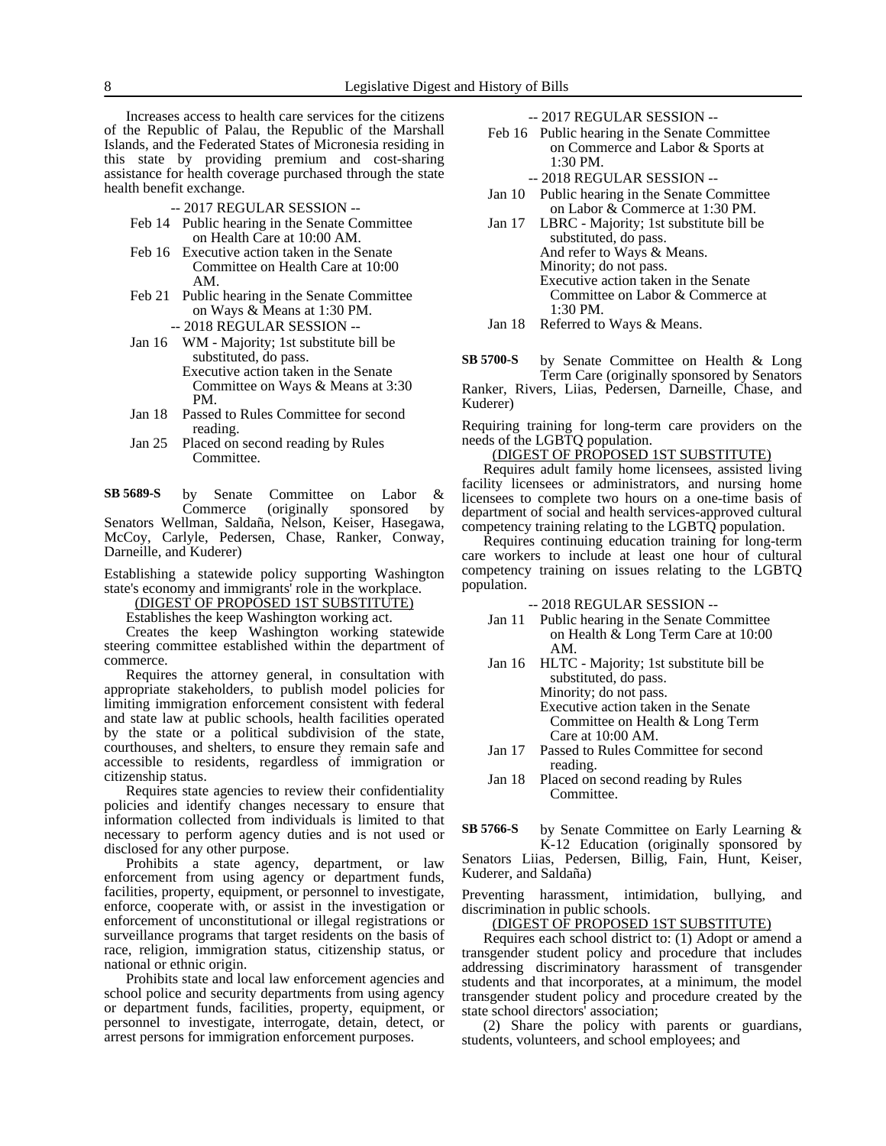Increases access to health care services for the citizens of the Republic of Palau, the Republic of the Marshall Islands, and the Federated States of Micronesia residing in this state by providing premium and cost-sharing assistance for health coverage purchased through the state health benefit exchange.

- -- 2017 REGULAR SESSION --
- Feb 14 Public hearing in the Senate Committee on Health Care at 10:00 AM.
- Feb 16 Executive action taken in the Senate Committee on Health Care at 10:00 AM.
- Feb 21 Public hearing in the Senate Committee on Ways & Means at 1:30 PM. -- 2018 REGULAR SESSION --
- Jan 16 WM Majority; 1st substitute bill be substituted, do pass. Executive action taken in the Senate Committee on Ways & Means at 3:30 PM.
- Jan 18 Passed to Rules Committee for second reading.
- Jan 25 Placed on second reading by Rules Committee.

by Senate Committee on Labor &<br>Commerce (originally sponsored by (originally sponsored Senators Wellman, Saldaña, Nelson, Keiser, Hasegawa, McCoy, Carlyle, Pedersen, Chase, Ranker, Conway, Darneille, and Kuderer) **SB 5689-S**

Establishing a statewide policy supporting Washington state's economy and immigrants' role in the workplace.

(DIGEST OF PROPOSED 1ST SUBSTITUTE)

Establishes the keep Washington working act.

Creates the keep Washington working statewide steering committee established within the department of commerce.

Requires the attorney general, in consultation with appropriate stakeholders, to publish model policies for limiting immigration enforcement consistent with federal and state law at public schools, health facilities operated by the state or a political subdivision of the state, courthouses, and shelters, to ensure they remain safe and accessible to residents, regardless of immigration or citizenship status.

Requires state agencies to review their confidentiality policies and identify changes necessary to ensure that information collected from individuals is limited to that necessary to perform agency duties and is not used or disclosed for any other purpose.

Prohibits a state agency, department, or law enforcement from using agency or department funds, facilities, property, equipment, or personnel to investigate, enforce, cooperate with, or assist in the investigation or enforcement of unconstitutional or illegal registrations or surveillance programs that target residents on the basis of race, religion, immigration status, citizenship status, or national or ethnic origin.

Prohibits state and local law enforcement agencies and school police and security departments from using agency or department funds, facilities, property, equipment, or personnel to investigate, interrogate, detain, detect, or arrest persons for immigration enforcement purposes.

-- 2017 REGULAR SESSION --

- Feb 16 Public hearing in the Senate Committee on Commerce and Labor & Sports at 1:30 PM.
	- -- 2018 REGULAR SESSION --
- Jan 10 Public hearing in the Senate Committee on Labor & Commerce at 1:30 PM.
- Jan 17 LBRC Majority; 1st substitute bill be substituted, do pass. And refer to Ways & Means. Minority; do not pass. Executive action taken in the Senate Committee on Labor & Commerce at 1:30 PM.
- Jan 18 Referred to Ways & Means.

by Senate Committee on Health & Long Term Care (originally sponsored by Senators Ranker, Rivers, Liias, Pedersen, Darneille, Chase, and Kuderer) **SB 5700-S**

Requiring training for long-term care providers on the needs of the LGBTQ population.

### (DIGEST OF PROPOSED 1ST SUBSTITUTE)

Requires adult family home licensees, assisted living facility licensees or administrators, and nursing home licensees to complete two hours on a one-time basis of department of social and health services-approved cultural competency training relating to the LGBTQ population.

Requires continuing education training for long-term care workers to include at least one hour of cultural competency training on issues relating to the LGBTQ population.

-- 2018 REGULAR SESSION --

- Jan 11 Public hearing in the Senate Committee on Health & Long Term Care at 10:00 AM.
- Jan 16 HLTC Majority; 1st substitute bill be substituted, do pass. Minority; do not pass. Executive action taken in the Senate Committee on Health & Long Term Care at 10:00 AM.
- Jan 17 Passed to Rules Committee for second reading.
- Jan 18 Placed on second reading by Rules Committee.

by Senate Committee on Early Learning & K-12 Education (originally sponsored by Senators Liias, Pedersen, Billig, Fain, Hunt, Keiser, Kuderer, and Saldaña) **SB 5766-S**

Preventing harassment, intimidation, bullying, and discrimination in public schools.

#### (DIGEST OF PROPOSED 1ST SUBSTITUTE)

Requires each school district to: (1) Adopt or amend a transgender student policy and procedure that includes addressing discriminatory harassment of transgender students and that incorporates, at a minimum, the model transgender student policy and procedure created by the state school directors' association;

(2) Share the policy with parents or guardians, students, volunteers, and school employees; and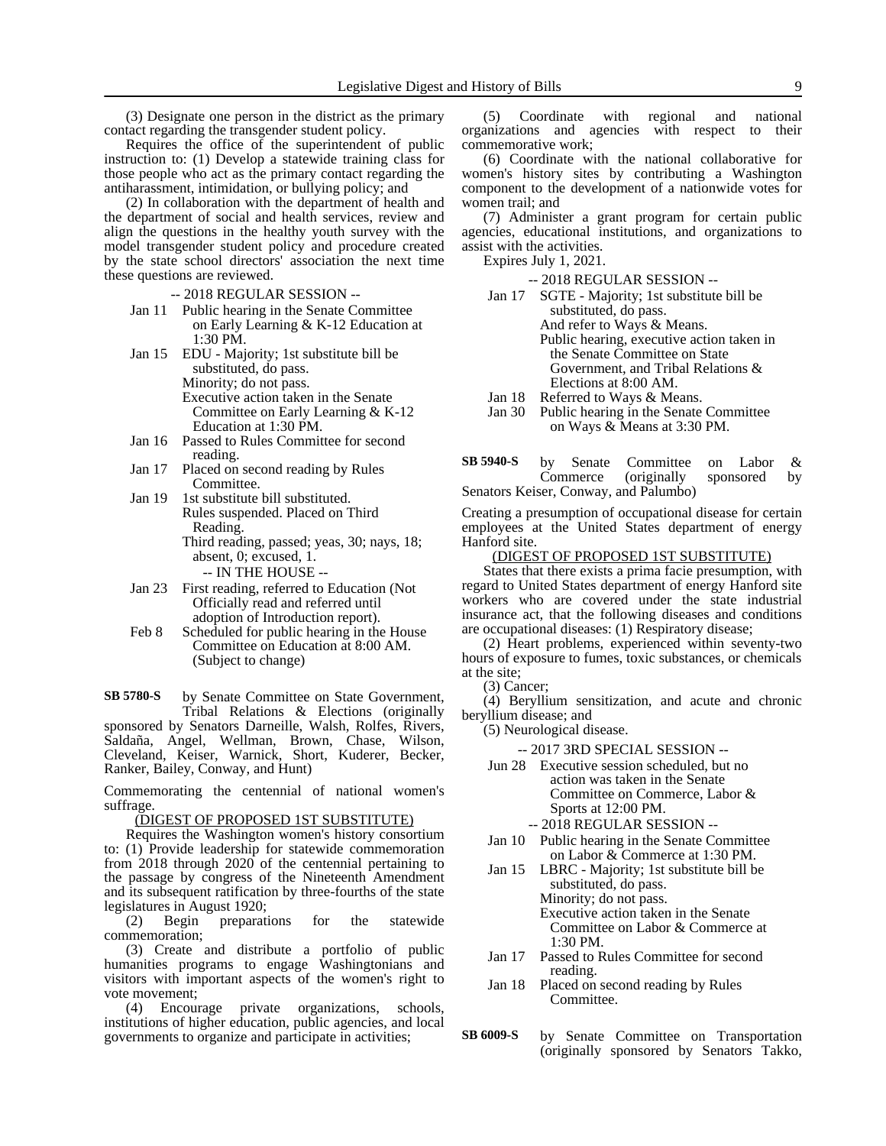(3) Designate one person in the district as the primary contact regarding the transgender student policy.

Requires the office of the superintendent of public instruction to: (1) Develop a statewide training class for those people who act as the primary contact regarding the antiharassment, intimidation, or bullying policy; and

(2) In collaboration with the department of health and the department of social and health services, review and align the questions in the healthy youth survey with the model transgender student policy and procedure created by the state school directors' association the next time these questions are reviewed.

-- 2018 REGULAR SESSION --

- Jan 11 Public hearing in the Senate Committee on Early Learning & K-12 Education at 1:30 PM.
- Jan 15 EDU Majority; 1st substitute bill be substituted, do pass. Minority; do not pass. Executive action taken in the Senate Committee on Early Learning & K-12 Education at 1:30 PM.
- Jan 16 Passed to Rules Committee for second reading.
- Jan 17 Placed on second reading by Rules Committee.
- Jan 19 1st substitute bill substituted. Rules suspended. Placed on Third Reading. Third reading, passed; yeas, 30; nays, 18; absent, 0; excused, 1. -- IN THE HOUSE --
- Jan 23 First reading, referred to Education (Not Officially read and referred until adoption of Introduction report).
- Feb 8 Scheduled for public hearing in the House Committee on Education at 8:00 AM. (Subject to change)

by Senate Committee on State Government, Tribal Relations & Elections (originally sponsored by Senators Darneille, Walsh, Rolfes, Rivers, Saldaña, Angel, Wellman, Brown, Chase, Wilson, Cleveland, Keiser, Warnick, Short, Kuderer, Becker, Ranker, Bailey, Conway, and Hunt) **SB 5780-S**

Commemorating the centennial of national women's suffrage.

(DIGEST OF PROPOSED 1ST SUBSTITUTE)

Requires the Washington women's history consortium to: (1) Provide leadership for statewide commemoration from 2018 through 2020 of the centennial pertaining to the passage by congress of the Nineteenth Amendment and its subsequent ratification by three-fourths of the state legislatures in August 1920;<br>(2) Begin preparati

preparations for the statewide commemoration;

(3) Create and distribute a portfolio of public humanities programs to engage Washingtonians and visitors with important aspects of the women's right to vote movement;

(4) Encourage private organizations, schools, institutions of higher education, public agencies, and local governments to organize and participate in activities;

(5) Coordinate with regional and national organizations and agencies with respect to their commemorative work;

(6) Coordinate with the national collaborative for women's history sites by contributing a Washington component to the development of a nationwide votes for women trail; and

(7) Administer a grant program for certain public agencies, educational institutions, and organizations to assist with the activities.

Expires July 1, 2021.

-- 2018 REGULAR SESSION --

- Jan 17 SGTE Majority; 1st substitute bill be substituted, do pass. And refer to Ways & Means. Public hearing, executive action taken in the Senate Committee on State Government, and Tribal Relations & Elections at 8:00 AM.
- Jan 18 Referred to Ways & Means.<br>Jan 30 Public hearing in the Senate Public hearing in the Senate Committee

on Ways & Means at 3:30 PM.

by Senate Committee on Labor &<br>Commerce (originally sponsored by Commerce (originally sponsored by Senators Keiser, Conway, and Palumbo) **SB 5940-S**

Creating a presumption of occupational disease for certain employees at the United States department of energy Hanford site.

#### (DIGEST OF PROPOSED 1ST SUBSTITUTE)

States that there exists a prima facie presumption, with regard to United States department of energy Hanford site workers who are covered under the state industrial insurance act, that the following diseases and conditions are occupational diseases: (1) Respiratory disease;

(2) Heart problems, experienced within seventy-two hours of exposure to fumes, toxic substances, or chemicals at the site;

(3) Cancer;

(4) Beryllium sensitization, and acute and chronic beryllium disease; and

(5) Neurological disease.

-- 2017 3RD SPECIAL SESSION --

Jun 28 Executive session scheduled, but no action was taken in the Senate Committee on Commerce, Labor & Sports at 12:00 PM.

-- 2018 REGULAR SESSION --

- Jan 10 Public hearing in the Senate Committee on Labor & Commerce at 1:30 PM.
- Jan 15 LBRC Majority; 1st substitute bill be substituted, do pass. Minority; do not pass. Executive action taken in the Senate

Committee on Labor & Commerce at 1:30 PM.

- Jan 17 Passed to Rules Committee for second reading.
- Jan 18 Placed on second reading by Rules Committee.
- by Senate Committee on Transportation (originally sponsored by Senators Takko, **SB 6009-S**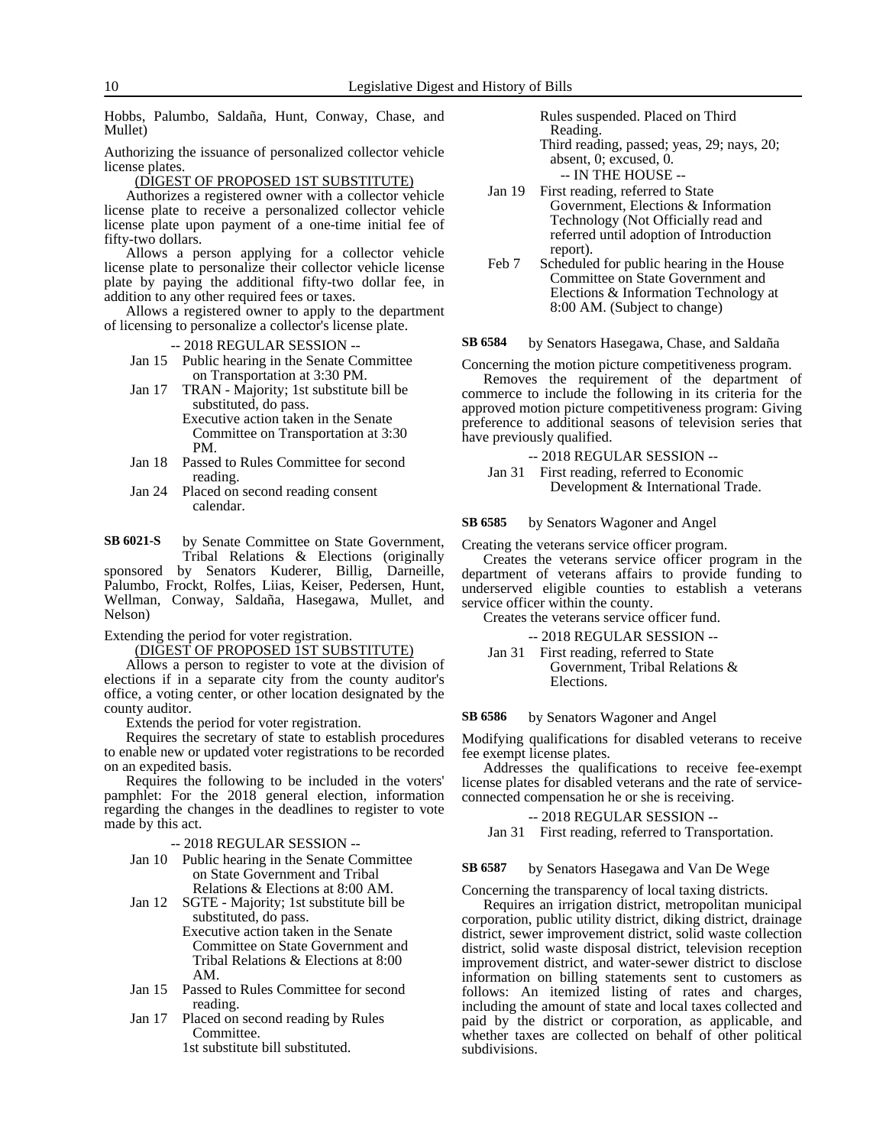Hobbs, Palumbo, Saldaña, Hunt, Conway, Chase, and Mullet)

Authorizing the issuance of personalized collector vehicle license plates.

(DIGEST OF PROPOSED 1ST SUBSTITUTE)

Authorizes a registered owner with a collector vehicle license plate to receive a personalized collector vehicle license plate upon payment of a one-time initial fee of fifty-two dollars.

Allows a person applying for a collector vehicle license plate to personalize their collector vehicle license plate by paying the additional fifty-two dollar fee, in addition to any other required fees or taxes.

Allows a registered owner to apply to the department of licensing to personalize a collector's license plate.

-- 2018 REGULAR SESSION --

- Jan 15 Public hearing in the Senate Committee on Transportation at 3:30 PM.
- Jan 17 TRAN Majority; 1st substitute bill be substituted, do pass.
	- Executive action taken in the Senate Committee on Transportation at 3:30 PM.
- Jan 18 Passed to Rules Committee for second reading.
- Jan 24 Placed on second reading consent calendar.
- by Senate Committee on State Government, Tribal Relations & Elections (originally **SB 6021-S**

sponsored by Senators Kuderer, Billig, Darneille, Palumbo, Frockt, Rolfes, Liias, Keiser, Pedersen, Hunt, Wellman, Conway, Saldaña, Hasegawa, Mullet, and Nelson)

Extending the period for voter registration.

(DIGEST OF PROPOSED 1ST SUBSTITUTE)

Allows a person to register to vote at the division of elections if in a separate city from the county auditor's office, a voting center, or other location designated by the county auditor.

Extends the period for voter registration.

Requires the secretary of state to establish procedures to enable new or updated voter registrations to be recorded on an expedited basis.

Requires the following to be included in the voters' pamphlet: For the 2018 general election, information regarding the changes in the deadlines to register to vote made by this act.

-- 2018 REGULAR SESSION --

- Jan 10 Public hearing in the Senate Committee on State Government and Tribal Relations & Elections at 8:00 AM.
- Jan 12 SGTE Majority; 1st substitute bill be substituted, do pass. Executive action taken in the Senate
	- Committee on State Government and Tribal Relations & Elections at 8:00 AM.
- Jan 15 Passed to Rules Committee for second reading.
- Jan 17 Placed on second reading by Rules Committee.

1st substitute bill substituted.

Rules suspended. Placed on Third Reading.

Third reading, passed; yeas, 29; nays, 20; absent, 0; excused, 0.

- -- IN THE HOUSE --
- Jan 19 First reading, referred to State Government, Elections & Information Technology (Not Officially read and referred until adoption of Introduction report).
- Feb 7 Scheduled for public hearing in the House Committee on State Government and Elections & Information Technology at 8:00 AM. (Subject to change)

by Senators Hasegawa, Chase, and Saldaña **SB 6584**

Concerning the motion picture competitiveness program. Removes the requirement of the department of commerce to include the following in its criteria for the approved motion picture competitiveness program: Giving preference to additional seasons of television series that have previously qualified.

- -- 2018 REGULAR SESSION --
- Jan 31 First reading, referred to Economic Development & International Trade.

by Senators Wagoner and Angel **SB 6585**

Creating the veterans service officer program.

Creates the veterans service officer program in the department of veterans affairs to provide funding to underserved eligible counties to establish a veterans service officer within the county.

Creates the veterans service officer fund.

- -- 2018 REGULAR SESSION --
- Jan 31 First reading, referred to State Government, Tribal Relations & Elections.

by Senators Wagoner and Angel **SB 6586**

Modifying qualifications for disabled veterans to receive fee exempt license plates.

Addresses the qualifications to receive fee-exempt license plates for disabled veterans and the rate of serviceconnected compensation he or she is receiving.

#### -- 2018 REGULAR SESSION --

Jan 31 First reading, referred to Transportation.

#### by Senators Hasegawa and Van De Wege **SB 6587**

Concerning the transparency of local taxing districts.

Requires an irrigation district, metropolitan municipal corporation, public utility district, diking district, drainage district, sewer improvement district, solid waste collection district, solid waste disposal district, television reception improvement district, and water-sewer district to disclose information on billing statements sent to customers as follows: An itemized listing of rates and charges, including the amount of state and local taxes collected and paid by the district or corporation, as applicable, and whether taxes are collected on behalf of other political subdivisions.